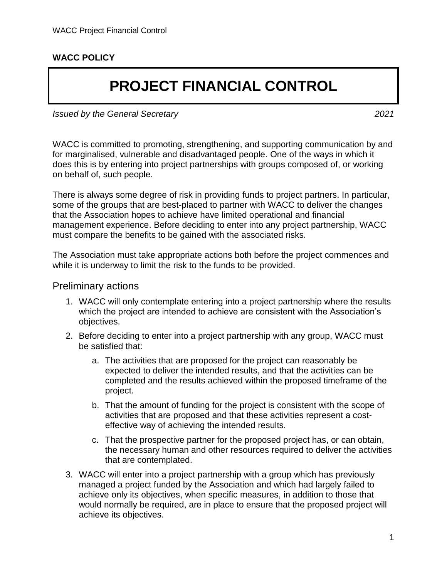## **WACC POLICY**

# **PROJECT FINANCIAL CONTROL**

*Issued by the General Secretary 2021*

WACC is committed to promoting, strengthening, and supporting communication by and for marginalised, vulnerable and disadvantaged people. One of the ways in which it does this is by entering into project partnerships with groups composed of, or working on behalf of, such people.

There is always some degree of risk in providing funds to project partners. In particular, some of the groups that are best-placed to partner with WACC to deliver the changes that the Association hopes to achieve have limited operational and financial management experience. Before deciding to enter into any project partnership, WACC must compare the benefits to be gained with the associated risks.

The Association must take appropriate actions both before the project commences and while it is underway to limit the risk to the funds to be provided.

#### Preliminary actions

- 1. WACC will only contemplate entering into a project partnership where the results which the project are intended to achieve are consistent with the Association's objectives.
- 2. Before deciding to enter into a project partnership with any group, WACC must be satisfied that:
	- a. The activities that are proposed for the project can reasonably be expected to deliver the intended results, and that the activities can be completed and the results achieved within the proposed timeframe of the project.
	- b. That the amount of funding for the project is consistent with the scope of activities that are proposed and that these activities represent a costeffective way of achieving the intended results.
	- c. That the prospective partner for the proposed project has, or can obtain, the necessary human and other resources required to deliver the activities that are contemplated.
- 3. WACC will enter into a project partnership with a group which has previously managed a project funded by the Association and which had largely failed to achieve only its objectives, when specific measures, in addition to those that would normally be required, are in place to ensure that the proposed project will achieve its objectives.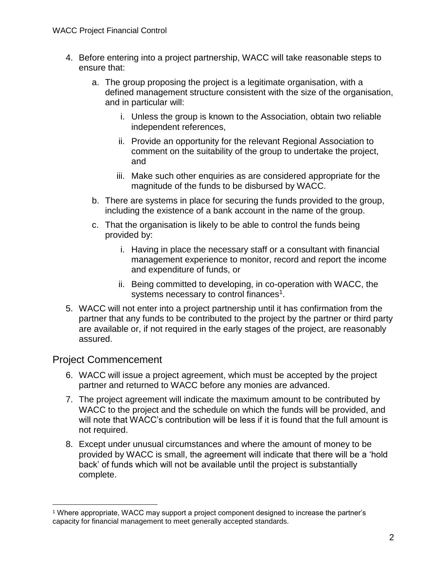- 4. Before entering into a project partnership, WACC will take reasonable steps to ensure that:
	- a. The group proposing the project is a legitimate organisation, with a defined management structure consistent with the size of the organisation, and in particular will:
		- i. Unless the group is known to the Association, obtain two reliable independent references,
		- ii. Provide an opportunity for the relevant Regional Association to comment on the suitability of the group to undertake the project, and
		- iii. Make such other enquiries as are considered appropriate for the magnitude of the funds to be disbursed by WACC.
	- b. There are systems in place for securing the funds provided to the group, including the existence of a bank account in the name of the group.
	- c. That the organisation is likely to be able to control the funds being provided by:
		- i. Having in place the necessary staff or a consultant with financial management experience to monitor, record and report the income and expenditure of funds, or
		- ii. Being committed to developing, in co-operation with WACC, the systems necessary to control finances<sup>1</sup>.
- <span id="page-1-0"></span>5. WACC will not enter into a project partnership until it has confirmation from the partner that any funds to be contributed to the project by the partner or third party are available or, if not required in the early stages of the project, are reasonably assured.

# Project Commencement

 $\overline{a}$ 

- 6. WACC will issue a project agreement, which must be accepted by the project partner and returned to WACC before any monies are advanced.
- 7. The project agreement will indicate the maximum amount to be contributed by WACC to the project and the schedule on which the funds will be provided, and will note that WACC's contribution will be less if it is found that the full amount is not required.
- <span id="page-1-1"></span>8. Except under unusual circumstances and where the amount of money to be provided by WACC is small, the agreement will indicate that there will be a 'hold back' of funds which will not be available until the project is substantially complete.

<sup>1</sup> Where appropriate, WACC may support a project component designed to increase the partner's capacity for financial management to meet generally accepted standards.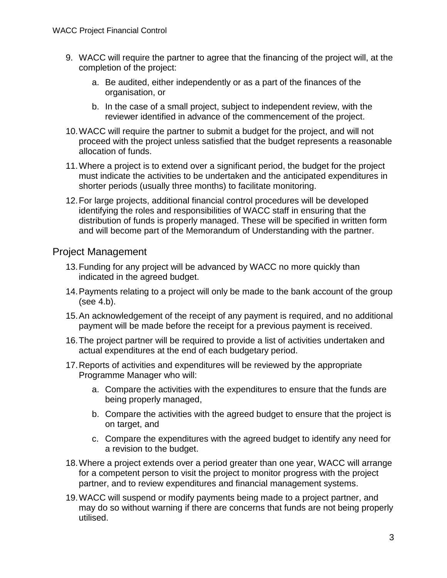- 9. WACC will require the partner to agree that the financing of the project will, at the completion of the project:
	- a. Be audited, either independently or as a part of the finances of the organisation, or
	- b. In the case of a small project, subject to independent review, with the reviewer identified in advance of the commencement of the project.
- 10.WACC will require the partner to submit a budget for the project, and will not proceed with the project unless satisfied that the budget represents a reasonable allocation of funds.
- 11.Where a project is to extend over a significant period, the budget for the project must indicate the activities to be undertaken and the anticipated expenditures in shorter periods (usually three months) to facilitate monitoring.
- 12.For large projects, additional financial control procedures will be developed identifying the roles and responsibilities of WACC staff in ensuring that the distribution of funds is properly managed. These will be specified in written form and will become part of the Memorandum of Understanding with the partner.

## Project Management

- 13.Funding for any project will be advanced by WACC no more quickly than indicated in the agreed budget.
- 14.Payments relating to a project will only be made to the bank account of the group (see [4.b\)](#page-1-0).
- 15.An acknowledgement of the receipt of any payment is required, and no additional payment will be made before the receipt for a previous payment is received.
- 16.The project partner will be required to provide a list of activities undertaken and actual expenditures at the end of each budgetary period.
- 17.Reports of activities and expenditures will be reviewed by the appropriate Programme Manager who will:
	- a. Compare the activities with the expenditures to ensure that the funds are being properly managed,
	- b. Compare the activities with the agreed budget to ensure that the project is on target, and
	- c. Compare the expenditures with the agreed budget to identify any need for a revision to the budget.
- 18.Where a project extends over a period greater than one year, WACC will arrange for a competent person to visit the project to monitor progress with the project partner, and to review expenditures and financial management systems.
- 19.WACC will suspend or modify payments being made to a project partner, and may do so without warning if there are concerns that funds are not being properly utilised.